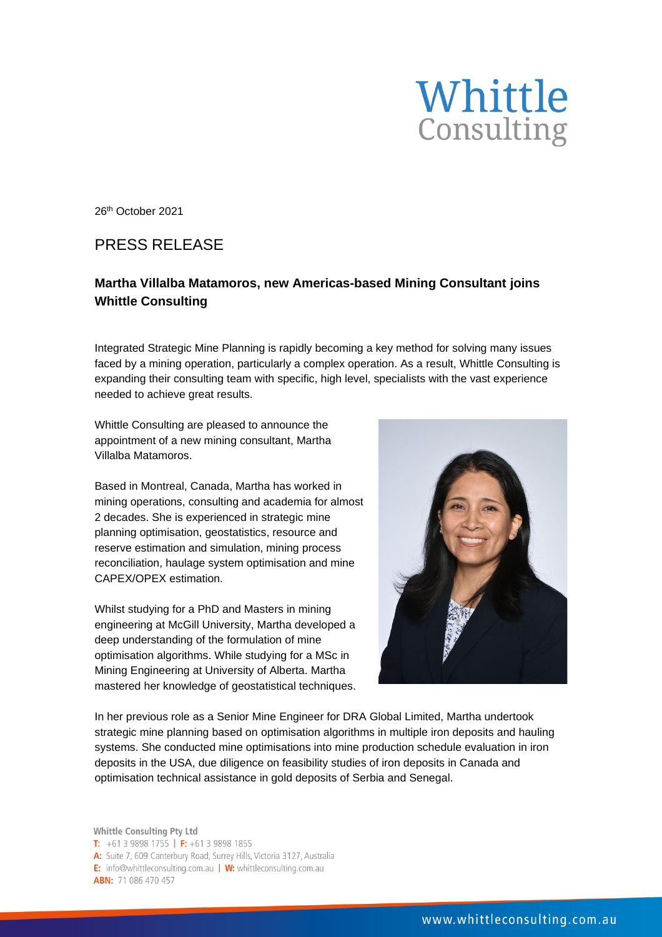

26th October 2021

## PRESS RELEASE

## **Martha Villalba Matamoros, new Americas-based Mining Consultant joins Whittle Consulting**

Integrated Strategic Mine Planning is rapidly becoming a key method for solving many issues faced by a mining operation, particularly a complex operation. As a result, Whittle Consulting is expanding their consulting team with specific, high level, specialists with the vast experience needed to achieve great results.

Whittle Consulting are pleased to announce the appointment of a new mining consultant, Martha Villalba Matamoros.

Based in Montreal, Canada, Martha has worked in mining operations, consulting and academia for almost 2 decades. She is experienced in strategic mine planning optimisation, geostatistics, resource and reserve estimation and simulation, mining process reconciliation, haulage system optimisation and mine CAPEX/OPEX estimation.

Whilst studying for a PhD and Masters in mining engineering at McGill University, Martha developed a deep understanding of the formulation of mine optimisation algorithms. While studying for a MSc in Mining Engineering at University of Alberta. Martha mastered her knowledge of geostatistical techniques.



In her previous role as a Senior Mine Engineer for DRA Global Limited, Martha undertook strategic mine planning based on optimisation algorithms in multiple iron deposits and hauling systems. She conducted mine optimisations into mine production schedule evaluation in iron deposits in the USA, due diligence on feasibility studies of iron deposits in Canada and optimisation technical assistance in gold deposits of Serbia and Senegal.

Whittle Consulting Pty Ltd T:  $+61398981755$  | F:  $+61398981855$ A: Suite 7, 609 Canterbury Road, Surrey Hills, Victoria 3127, Australia E: info@whittleconsulting.com.au | W: whittleconsulting.com.au **ABN: 71 086 470 457**